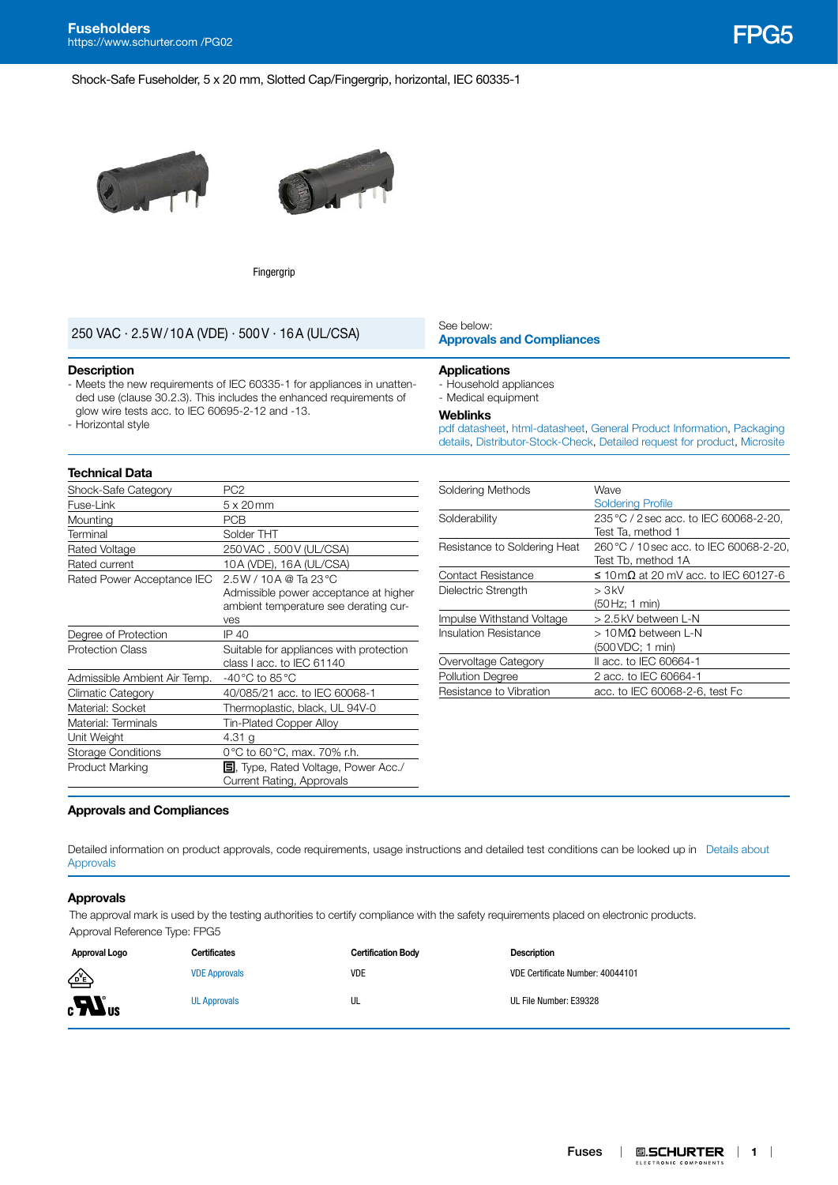**Fuseholders** Fuseholders<br>[https://www.schurter.com /PG02](https://www.schurter.com/en/PG02) FPG5 Fest and The Control of The Control of The Control of The Control of The C<br>FIFCS Fest and The Control of The Control of The Control of The Control of The Control of The Contr

Shock-Safe Fuseholder, 5 x 20 mm, Slotted Cap/Fingergrip, horizontal, IEC 60335-1





Fingergrip

## **[Approvals and Compliances](#page-0-0)** 250 VAC · 2.5W/10A (VDE) · 500V · 16A (UL/CSA)

#### **Description**

- Meets the new requirements of IEC 60335-1 for appliances in unattended use (clause 30.2.3). This includes the enhanced requirements of glow wire tests acc. to IEC 60695-2-12 and -13.
- Horizontal style

#### **Technical Data**

| Shock-Safe Category          | PC <sub>2</sub>                             |  |
|------------------------------|---------------------------------------------|--|
| Fuse-Link                    | $5 \times 20$ mm                            |  |
| Mounting                     | <b>PCB</b>                                  |  |
| Terminal                     | Solder THT                                  |  |
| Rated Voltage                | 250 VAC, 500 V (UL/CSA)                     |  |
| Rated current                | 10A (VDE), 16A (UL/CSA)                     |  |
| Rated Power Acceptance IEC   | $2.5W/10A$ @ Ta 23 °C                       |  |
|                              | Admissible power acceptance at higher       |  |
|                              | ambient temperature see derating cur-       |  |
|                              | ves                                         |  |
| Degree of Protection         | IP 40                                       |  |
| <b>Protection Class</b>      | Suitable for appliances with protection     |  |
|                              | class I acc. to IEC 61140                   |  |
| Admissible Ambient Air Temp. | -40 °C to 85 °C                             |  |
| Climatic Category            | 40/085/21 acc. to IEC 60068-1               |  |
| Material: Socket             | Thermoplastic, black, UL 94V-0              |  |
| Material: Terminals          | Tin-Plated Copper Alloy                     |  |
| Unit Weight                  | 4.31 g                                      |  |
| <b>Storage Conditions</b>    | 0°C to 60°C, max. 70% r.h.                  |  |
| Product Marking              | <b>国</b> , Type, Rated Voltage, Power Acc./ |  |
|                              | Current Rating, Approvals                   |  |
|                              |                                             |  |

# See below:

#### **Applications**

- Household appliances
- Medical equipment

#### **Weblinks**

[pdf datasheet](http://www.schurter.ch/pdf/english/typ_FPG5.pdf), [html-datasheet,](http://www.schurter.ch/en/datasheet/FPG5) [General Product Information](https://www.schurter.ch/en/products/fuses_general_info.asp?language_id=0), [Packaging](https://www.schurter.com/en/data/download/19867)  [details,](https://www.schurter.com/en/data/download/19867) [Distributor-Stock-Check](https://www.schurter.com/en/Stock-Check/Stock-Check-Distributor?partnumber1=FPG5), [Detailed request for product](https://www.schurter.com/en/Contacts/Contact-Form?type=FPG5), [Microsite](https://fuseholder.schurter.com)

| Soldering Methods            | Wave                                    |  |
|------------------------------|-----------------------------------------|--|
|                              | <b>Soldering Profile</b>                |  |
| Solderability                | 235 °C / 2 sec acc. to IEC 60068-2-20,  |  |
|                              | Test Ta, method 1                       |  |
| Resistance to Soldering Heat | 260 °C / 10 sec acc. to IEC 60068-2-20, |  |
|                              | Test Tb, method 1A                      |  |
| <b>Contact Resistance</b>    | ≤ 10 mΩ at 20 mV acc. to IEC 60127-6    |  |
| Dielectric Strength          | > 3kV                                   |  |
|                              | (50 Hz; 1 min)                          |  |
| Impulse Withstand Voltage    | > 2.5kV between L-N                     |  |
| Insulation Resistance        | $>10$ MΩ between L-N                    |  |
|                              | (500 VDC; 1 min)                        |  |
| Overvoltage Category         | II acc. to IEC 60664-1                  |  |
| <b>Pollution Degree</b>      | 2 acc. to IEC 60664-1                   |  |
| Resistance to Vibration      | acc. to IEC 60068-2-6, test Fc          |  |
|                              |                                         |  |

#### <span id="page-0-0"></span>**Approvals and Compliances**

Detailed information on product approvals, code requirements, usage instructions and detailed test conditions can be looked up in [Details about](https://www.schurter.com/en/Components/Connectors/General-Product-Information#1.1)  [Approvals](https://www.schurter.com/en/Components/Connectors/General-Product-Information#1.1)

#### **Approvals**

The approval mark is used by the testing authorities to certify compliance with the safety requirements placed on electronic products. Approval Reference Type: FPG5

| Approval Logo                    | Certificates         | <b>Certification Body</b> | Description                      |
|----------------------------------|----------------------|---------------------------|----------------------------------|
| ∕⊵                               | <b>VDE Approvals</b> | VDE                       | VDE Certificate Number: 40044101 |
| $_{\rm c}$ $\mathbf{W}_{\rm us}$ | <b>UL Approvals</b>  | UL                        | UL File Number: E39328           |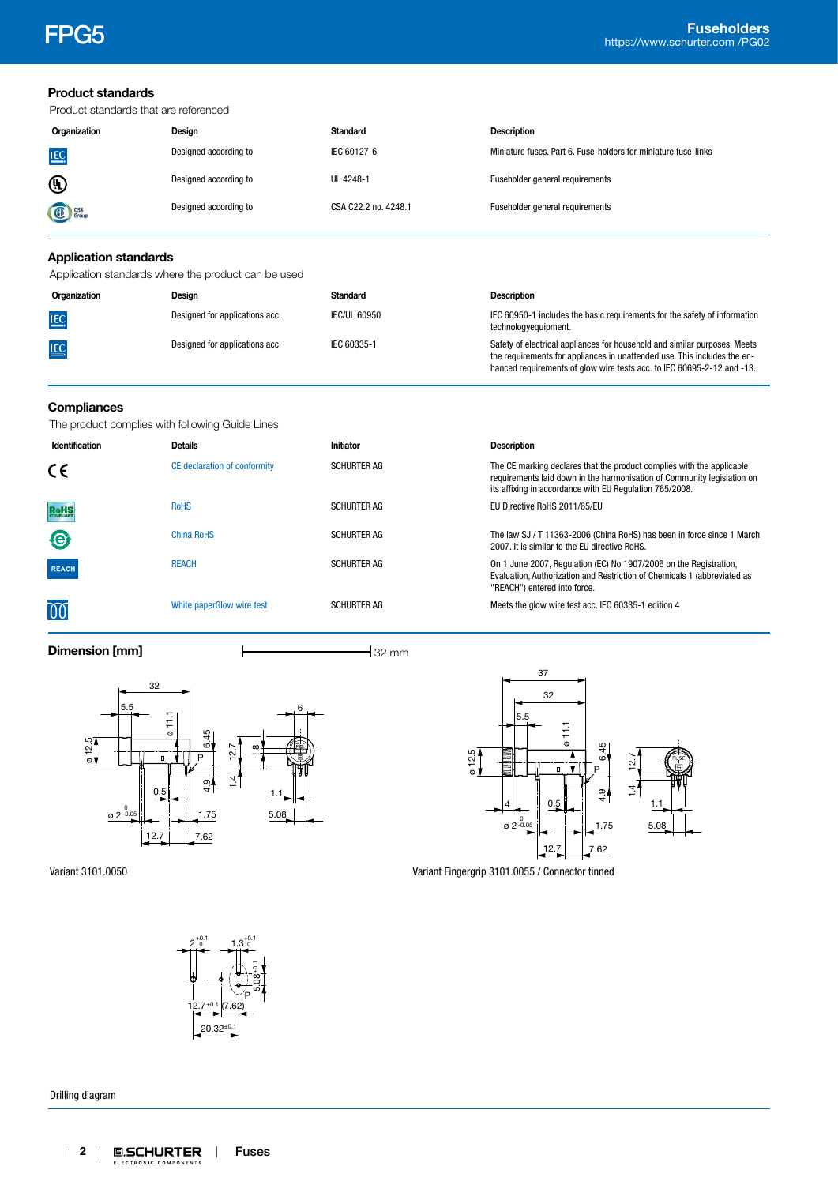**Product standards**

|                              | Product standards that are referenced               |                      |                                                                                                                                                                                                                                 |  |
|------------------------------|-----------------------------------------------------|----------------------|---------------------------------------------------------------------------------------------------------------------------------------------------------------------------------------------------------------------------------|--|
| Organization                 | Design                                              | <b>Standard</b>      | <b>Description</b>                                                                                                                                                                                                              |  |
| <u>IEC</u>                   | Designed according to                               | IEC 60127-6          | Miniature fuses, Part 6, Fuse-holders for miniature fuse-links                                                                                                                                                                  |  |
| ⑩                            | Designed according to                               | UL 4248-1            | Fuseholder general requirements                                                                                                                                                                                                 |  |
| Group                        | Designed according to                               | CSA C22.2 no. 4248.1 | Fuseholder general requirements                                                                                                                                                                                                 |  |
| <b>Application standards</b> |                                                     |                      |                                                                                                                                                                                                                                 |  |
|                              | Application standards where the product can be used |                      |                                                                                                                                                                                                                                 |  |
| Organization                 | Design                                              | <b>Standard</b>      | <b>Description</b>                                                                                                                                                                                                              |  |
| $\underline{\text{IEC}}$     | Designed for applications acc.                      | <b>IEC/UL 60950</b>  | IEC 60950-1 includes the basic requirements for the safety of information<br>technologyequipment.                                                                                                                               |  |
| <u>IEC</u>                   | Designed for applications acc.                      | IEC 60335-1          | Safety of electrical appliances for household and similar purposes. Meets<br>the requirements for appliances in unattended use. This includes the en-<br>hanced requirements of glow wire tests acc. to IEC 60695-2-12 and -13. |  |
| Compliances                  | The product complies with following Guide Lines     |                      |                                                                                                                                                                                                                                 |  |
| Identification               | <b>Details</b>                                      | Initiator            | <b>Description</b>                                                                                                                                                                                                              |  |
| C٤                           | CE declaration of conformity                        | <b>SCHURTER AG</b>   | The CE marking declares that the product complies with the applicable<br>requirements laid down in the harmonisation of Community legislation on<br>its affixing in accordance with EU Regulation 765/2008.                     |  |
| RoHS                         | <b>RoHS</b>                                         | <b>SCHURTER AG</b>   | EU Directive RoHS 2011/65/EU                                                                                                                                                                                                    |  |
| €                            | <b>China RoHS</b>                                   | <b>SCHURTER AG</b>   | The law SJ / T 11363-2006 (China RoHS) has been in force since 1 March<br>2007. It is similar to the EU directive RoHS.                                                                                                         |  |
| <b>REACH</b>                 | <b>REACH</b>                                        | <b>SCHURTER AG</b>   | On 1 June 2007, Regulation (EC) No 1907/2006 on the Registration,<br>Evaluation, Authorization and Restriction of Chemicals 1 (abbreviated as<br>"REACH") entered into force.                                                   |  |
|                              | White paperGlow wire test                           | <b>SCHURTER AG</b>   | Meets the glow wire test acc. IEC 60335-1 edition 4                                                                                                                                                                             |  |
| Dimension [mm]               |                                                     | $-$ 32 mm            |                                                                                                                                                                                                                                 |  |





Variant Fingergrip 3101.0055 / Connector tinned

Variant 3101.0050



Drilling diagram